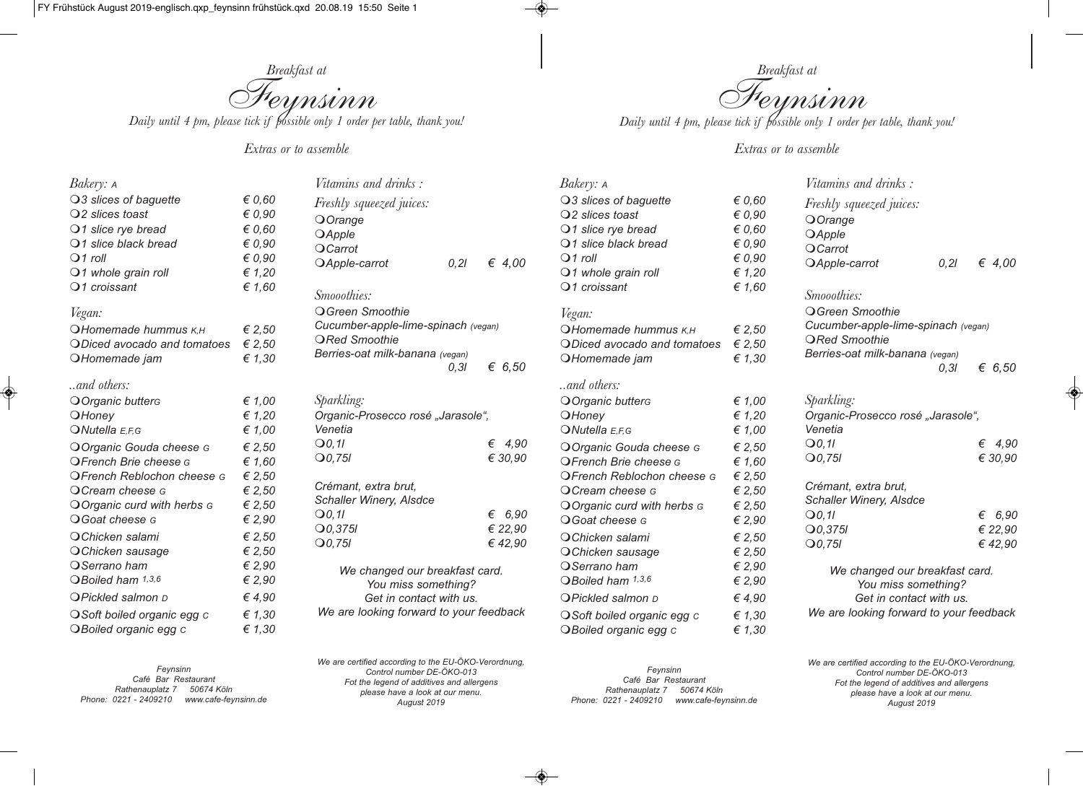

*Extras or to assemble* 

| Bakery: A                      |                 | Vitamins and drinks:                    |          |
|--------------------------------|-----------------|-----------------------------------------|----------|
| O3 slices of baguette          | $\epsilon$ 0,60 | <i>Freshly squeezed juices:</i>         |          |
| $Q2$ slices toast              | $\epsilon$ 0,90 | OOrange                                 |          |
| O1 slice rye bread             | $\epsilon$ 0,60 | <b>OApple</b>                           |          |
| $\bigcirc$ 1 slice black bread | $\epsilon$ 0,90 | OCarrot                                 |          |
| $Q1$ roll                      | $\epsilon$ 0,90 | OApple-carrot<br>0.21                   | € 4,00   |
| $Q1$ whole grain roll          | € 1,20          |                                         |          |
| $Q1$ croissant                 | € 1,60          | Smooothies:                             |          |
| Vegan:                         |                 | O Green Smoothie                        |          |
| OHomemade hummus K,H           | € 2,50          | Cucumber-apple-lime-spinach (vegan)     |          |
| ODiced avocado and tomatoes    | € 2,50          | <b>ORed Smoothie</b>                    |          |
| OHomemade jam                  | € $1,30$        | Berries-oat milk-banana (vegan)         |          |
|                                |                 | 0.31                                    | € 6,50   |
| $\ldots$ and others:           |                 |                                         |          |
| O Organic butterg              | € $1,00$        | Sparkling:                              |          |
| OHoney                         | € 1,20          | Organic-Prosecco rosé "Jarasole",       |          |
| $\bigcirc$ Nutella E,F,G       | € 1,00          | Venetia                                 |          |
| O Organic Gouda cheese G       | € 2,50          | Q <sub>0</sub> , 11                     | € $4,90$ |
| OFrench Brie cheese G          | € $1,60$        | $Q0$ ,75l                               | € 30,90  |
| OFrench Reblochon cheese G     | € 2,50          |                                         |          |
| O Cream cheese G               | € 2,50          | Crémant, extra brut,                    |          |
| O Organic curd with herbs G    | € 2,50          | Schaller Winery, Alsdce                 |          |
| <b>O</b> Goat cheese G         | € 2,90          | Q <sub>0</sub> 11                       | € 6,90   |
| O Chicken salami               | € 2,50          | $Q$ 0,375 $I$                           | € 22,90  |
| O Chicken sausage              | € 2,50          | $Q0$ ,75l                               | €42,90   |
| O Serrano ham                  | € 2,90          | We changed our breakfast card.          |          |
| OBoiled ham 1,3,6              | € 2,90          | You miss something?                     |          |
| <b>OPickled salmon D</b>       | €4,90           | Get in contact with us.                 |          |
| O Soft boiled organic egg c    | € 1,30          | We are looking forward to your feedback |          |
| OBoiled organic egg c          | € 1,30          |                                         |          |

*Feynsinn Café Bar Restaurant Rathenauplatz 7 50674 Köln Phone: 0221 - 2409210 www.cafe-feynsinn.de* *We are certified according to the EU-ÖKO-Verordnung, Control number DE-ÖKO-013 Fot the legend of additives and allergens please have a look at our menu. August 2019*

*Feynsinn Café Bar Restaurant Rathenauplatz 7 50674 Köln Phone: 0221 - 2409210 www.cafe-feynsinn.de*

*Breakfast at Feynsinn*<br>Daily until 4 pm, please tick if possible only 1 order per table, thank you!

*Extras or to assemble* 

| Bakery: A                      |                 | <i>Vitamins and drinks:</i>             |       |                 |
|--------------------------------|-----------------|-----------------------------------------|-------|-----------------|
| ○3 slices of baguette          | $\epsilon$ 0,60 | Freshly squeezed juices:                |       |                 |
| $Q2$ slices toast              | $\epsilon$ 0,90 | OOrange                                 |       |                 |
| $\bigcirc$ 1 slice rye bread   | $\epsilon$ 0,60 | <b>OApple</b>                           |       |                 |
| $\bigcirc$ 1 slice black bread | $\epsilon$ 0,90 | OCarrot                                 |       |                 |
| $Q1$ roll                      | $\epsilon$ 0,90 | OApple-carrot                           | 0, 21 | € 4,00          |
| $\bigcirc$ 1 whole grain roll  | € 1,20          |                                         |       |                 |
| $Q1$ croissant                 | € 1,60          | Smooothies:                             |       |                 |
| Vegan:                         |                 | O Green Smoothie                        |       |                 |
| <b>OHomemade hummus K,H</b>    | € 2,50          | Cucumber-apple-lime-spinach (vegan)     |       |                 |
| ODiced avocado and tomatoes    | € 2,50          | <b>ORed Smoothie</b>                    |       |                 |
| OHomemade jam                  | € 1,30          | Berries-oat milk-banana (vegan)         |       |                 |
|                                |                 |                                         | 0, 31 | € 6,50          |
| and others:                    |                 |                                         |       |                 |
| O Organic butters              | € 1,00          | <i>Sparkling:</i>                       |       |                 |
| OHoney                         | € 1,20          | Organic-Prosecco rosé "Jarasole",       |       |                 |
| ONutella E,F,G                 | € $1,00$        | Venetia                                 |       |                 |
| O Organic Gouda cheese G       | € 2,50          | Q <sub>0</sub> , 11                     |       | $\epsilon$ 4.90 |
| OFrench Brie cheese G          | € 1,60          | $Q0$ ,75l                               |       | € 30,90         |
| OFrench Reblochon cheese G     | € 2,50          |                                         |       |                 |
| OCream cheese G                | € 2,50          | Crémant, extra brut,                    |       |                 |
| O Organic curd with herbs G    | € 2,50          | Schaller Winery, Alsdce                 |       |                 |
| O Goat cheese G                | € 2,90          | $\Theta$ 0,11                           |       | € 6,90          |
| OChicken salami                | € 2,50          | $Q$ 0,375 $I$                           |       | € 22,90         |
| OChicken sausage               | € 2,50          | $Q0$ , 75I                              |       | €42,90          |
| OSerrano ham                   | € 2,90          | We changed our breakfast card.          |       |                 |
| OBoiled ham 1,3,6              | € 2,90          | You miss something?                     |       |                 |
| <b>OPickled salmon D</b>       | € 4,90          | Get in contact with us.                 |       |                 |
| OSoft boiled organic egg c     | € 1,30          | We are looking forward to your feedback |       |                 |
| OBoiled organic egg c          | € 1,30          |                                         |       |                 |

*We are certified according to the EU-ÖKO-Verordnung, Control number DE-ÖKO-013 Fot the legend of additives and allergens please have a look at our menu. August 2019*